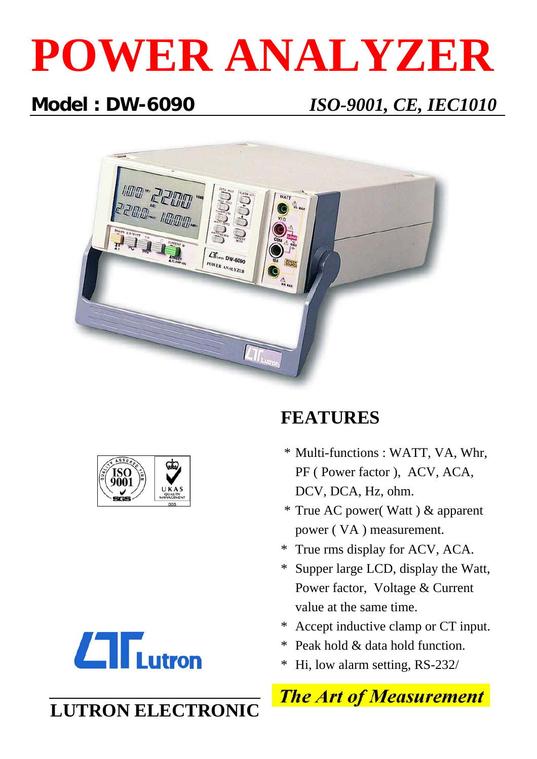# **POWER ANALYZER**

## **Model : DW-6090** *ISO-9001, CE, IEC1010*







#### \* Supper large LCD, display the Watt, Power factor, Voltage & Current

value at the same time.

DCV, DCA, Hz, ohm.

**FEATURES**

\* Accept inductive clamp or CT input.

\* Multi-functions : WATT, VA, Whr,

PF ( Power factor ), ACV, ACA,

\* True AC power( Watt ) & apparent

power ( VA ) measurement.

\* True rms display for ACV, ACA.

- \* Peak hold & data hold function.
- \* Hi, low alarm setting, RS-232/



# **LUTRON ELECTRONIC**